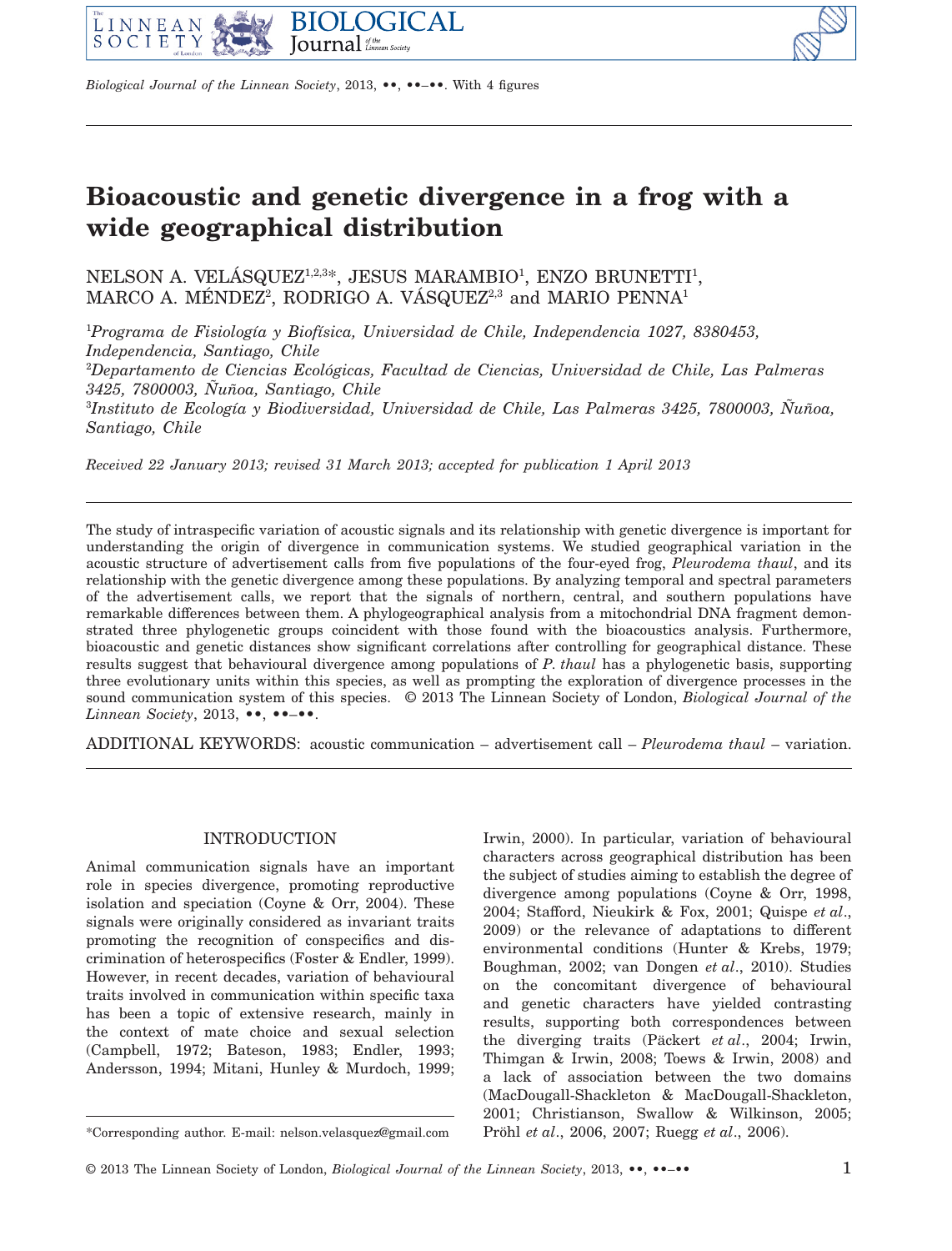



*Biological Journal of the Linnean Society*, 2013, **••**, ••–••. With 4 figures

# **Bioacoustic and genetic divergence in a frog with a wide geographical distribution**

NELSON A. VELÁSQUEZ<sup>1,2,3</sup>\*, JESUS MARAMBIO<sup>1</sup>, ENZO BRUNETTI<sup>1</sup>, MARCO A. MÉNDEZ<sup>2</sup>, RODRIGO A. VÁSQUEZ<sup>2,3</sup> and MARIO PENNA<sup>1</sup>

1 *Programa de Fisiología y Biofísica, Universidad de Chile, Independencia 1027, 8380453, Independencia, Santiago, Chile* 2 *Departamento de Ciencias Ecológicas, Facultad de Ciencias, Universidad de Chile, Las Palmeras 3425, 7800003, Ñuñoa, Santiago, Chile* 3 *Instituto de Ecología y Biodiversidad, Universidad de Chile, Las Palmeras 3425, 7800003, Ñuñoa, Santiago, Chile*

*Received 22 January 2013; revised 31 March 2013; accepted for publication 1 April 2013*

The study of intraspecific variation of acoustic signals and its relationship with genetic divergence is important for understanding the origin of divergence in communication systems. We studied geographical variation in the acoustic structure of advertisement calls from five populations of the four-eyed frog, *Pleurodema thaul*, and its relationship with the genetic divergence among these populations. By analyzing temporal and spectral parameters of the advertisement calls, we report that the signals of northern, central, and southern populations have remarkable differences between them. A phylogeographical analysis from a mitochondrial DNA fragment demonstrated three phylogenetic groups coincident with those found with the bioacoustics analysis. Furthermore, bioacoustic and genetic distances show significant correlations after controlling for geographical distance. These results suggest that behavioural divergence among populations of *P. thaul* has a phylogenetic basis, supporting three evolutionary units within this species, as well as prompting the exploration of divergence processes in the sound communication system of this species. © 2013 The Linnean Society of London, *Biological Journal of the Linnean Society*, 2013, ••, ••–••.

ADDITIONAL KEYWORDS: acoustic communication – advertisement call – *Pleurodema thaul* – variation.

# INTRODUCTION

Animal communication signals have an important role in species divergence, promoting reproductive isolation and speciation (Coyne & Orr, 2004). These signals were originally considered as invariant traits promoting the recognition of conspecifics and discrimination of heterospecifics (Foster & Endler, 1999). However, in recent decades, variation of behavioural traits involved in communication within specific taxa has been a topic of extensive research, mainly in the context of mate choice and sexual selection (Campbell, 1972; Bateson, 1983; Endler, 1993; Andersson, 1994; Mitani, Hunley & Murdoch, 1999; Irwin, 2000). In particular, variation of behavioural characters across geographical distribution has been the subject of studies aiming to establish the degree of divergence among populations (Coyne & Orr, 1998, 2004; Stafford, Nieukirk & Fox, 2001; Quispe *et al*., 2009) or the relevance of adaptations to different environmental conditions (Hunter & Krebs, 1979; Boughman, 2002; van Dongen *et al*., 2010). Studies on the concomitant divergence of behavioural and genetic characters have yielded contrasting results, supporting both correspondences between the diverging traits (Päckert *et al*., 2004; Irwin, Thimgan & Irwin, 2008; Toews & Irwin, 2008) and a lack of association between the two domains (MacDougall-Shackleton & MacDougall-Shackleton, 2001; Christianson, Swallow & Wilkinson, 2005;

<sup>\*</sup>Corresponding author. E-mail: nelson.velasquez@gmail.com Pröhl *et al*., 2006, 2007; Ruegg *et al*., 2006).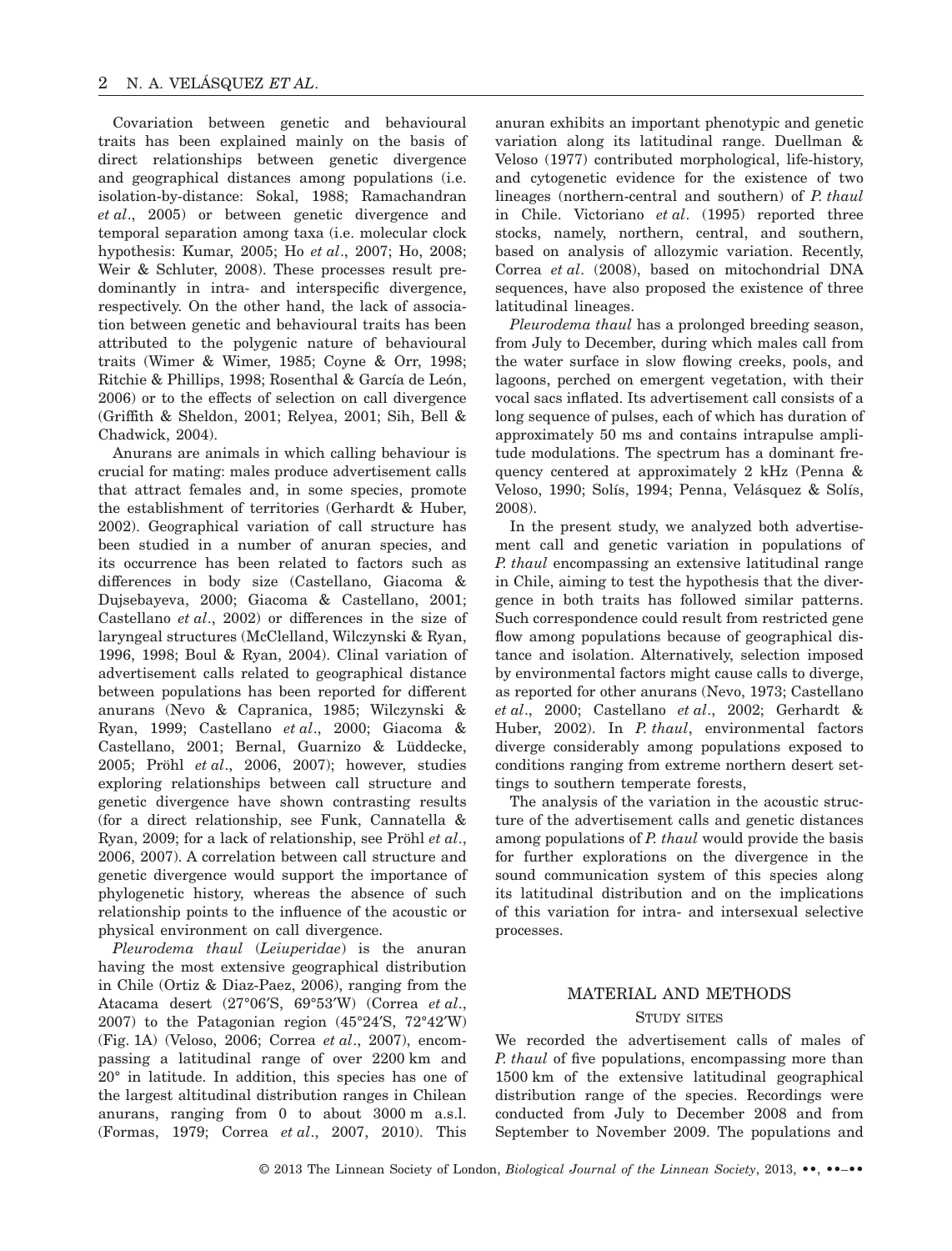Covariation between genetic and behavioural traits has been explained mainly on the basis of direct relationships between genetic divergence and geographical distances among populations (i.e. isolation-by-distance: Sokal, 1988; Ramachandran *et al*., 2005) or between genetic divergence and temporal separation among taxa (i.e. molecular clock hypothesis: Kumar, 2005; Ho *et al*., 2007; Ho, 2008; Weir & Schluter, 2008). These processes result predominantly in intra- and interspecific divergence, respectively. On the other hand, the lack of association between genetic and behavioural traits has been attributed to the polygenic nature of behavioural traits (Wimer & Wimer, 1985; Coyne & Orr, 1998; Ritchie & Phillips, 1998; Rosenthal & García de León, 2006) or to the effects of selection on call divergence (Griffith & Sheldon, 2001; Relyea, 2001; Sih, Bell & Chadwick, 2004).

Anurans are animals in which calling behaviour is crucial for mating: males produce advertisement calls that attract females and, in some species, promote the establishment of territories (Gerhardt & Huber, 2002). Geographical variation of call structure has been studied in a number of anuran species, and its occurrence has been related to factors such as differences in body size (Castellano, Giacoma & Dujsebayeva, 2000; Giacoma & Castellano, 2001; Castellano *et al*., 2002) or differences in the size of laryngeal structures (McClelland, Wilczynski & Ryan, 1996, 1998; Boul & Ryan, 2004). Clinal variation of advertisement calls related to geographical distance between populations has been reported for different anurans (Nevo & Capranica, 1985; Wilczynski & Ryan, 1999; Castellano *et al*., 2000; Giacoma & Castellano, 2001; Bernal, Guarnizo & Lüddecke, 2005; Pröhl *et al*., 2006, 2007); however, studies exploring relationships between call structure and genetic divergence have shown contrasting results (for a direct relationship, see Funk, Cannatella & Ryan, 2009; for a lack of relationship, see Pröhl *et al*., 2006, 2007). A correlation between call structure and genetic divergence would support the importance of phylogenetic history, whereas the absence of such relationship points to the influence of the acoustic or physical environment on call divergence.

*Pleurodema thaul* (*Leiuperidae*) is the anuran having the most extensive geographical distribution in Chile (Ortiz & Diaz-Paez, 2006), ranging from the Atacama desert (27°06′S, 69°53′W) (Correa *et al*., 2007) to the Patagonian region (45°24′S, 72°42′W) (Fig. 1A) (Veloso, 2006; Correa *et al*., 2007), encompassing a latitudinal range of over 2200 km and 20° in latitude. In addition, this species has one of the largest altitudinal distribution ranges in Chilean anurans, ranging from 0 to about 3000 m a.s.l. (Formas, 1979; Correa *et al*., 2007, 2010). This

anuran exhibits an important phenotypic and genetic variation along its latitudinal range. Duellman & Veloso (1977) contributed morphological, life-history, and cytogenetic evidence for the existence of two lineages (northern-central and southern) of *P. thaul* in Chile. Victoriano *et al*. (1995) reported three stocks, namely, northern, central, and southern, based on analysis of allozymic variation. Recently, Correa *et al*. (2008), based on mitochondrial DNA sequences, have also proposed the existence of three latitudinal lineages.

*Pleurodema thaul* has a prolonged breeding season, from July to December, during which males call from the water surface in slow flowing creeks, pools, and lagoons, perched on emergent vegetation, with their vocal sacs inflated. Its advertisement call consists of a long sequence of pulses, each of which has duration of approximately 50 ms and contains intrapulse amplitude modulations. The spectrum has a dominant frequency centered at approximately 2 kHz (Penna & Veloso, 1990; Solís, 1994; Penna, Velásquez & Solís, 2008).

In the present study, we analyzed both advertisement call and genetic variation in populations of *P. thaul* encompassing an extensive latitudinal range in Chile, aiming to test the hypothesis that the divergence in both traits has followed similar patterns. Such correspondence could result from restricted gene flow among populations because of geographical distance and isolation. Alternatively, selection imposed by environmental factors might cause calls to diverge, as reported for other anurans (Nevo, 1973; Castellano *et al*., 2000; Castellano *et al*., 2002; Gerhardt & Huber, 2002). In *P. thaul*, environmental factors diverge considerably among populations exposed to conditions ranging from extreme northern desert settings to southern temperate forests,

The analysis of the variation in the acoustic structure of the advertisement calls and genetic distances among populations of *P. thaul* would provide the basis for further explorations on the divergence in the sound communication system of this species along its latitudinal distribution and on the implications of this variation for intra- and intersexual selective processes.

# MATERIAL AND METHODS STUDY SITES

We recorded the advertisement calls of males of *P. thaul* of five populations, encompassing more than 1500 km of the extensive latitudinal geographical distribution range of the species. Recordings were conducted from July to December 2008 and from September to November 2009. The populations and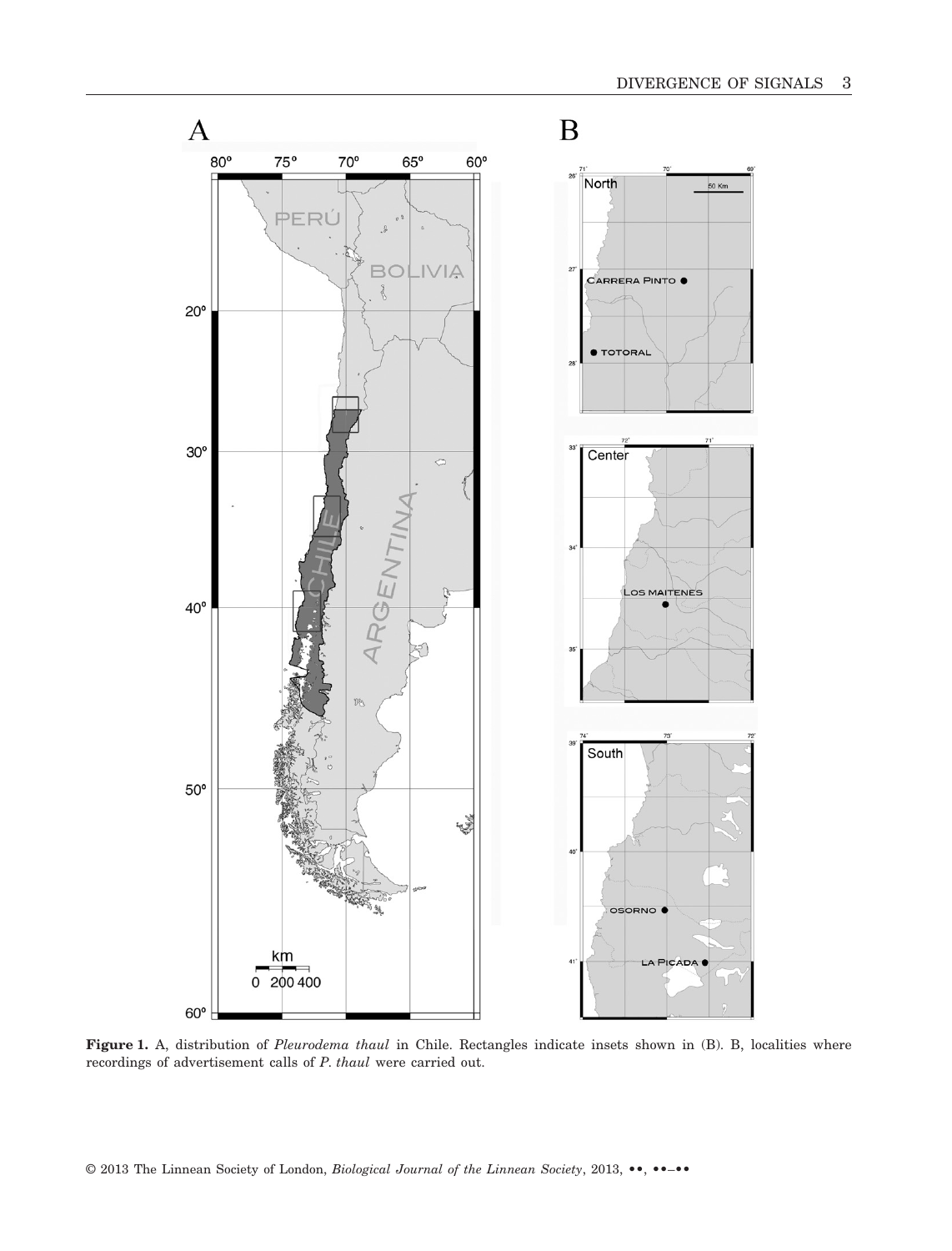

**Figure 1.** A, distribution of *Pleurodema thaul* in Chile. Rectangles indicate insets shown in (B). B, localities where recordings of advertisement calls of *P. thaul* were carried out.

© 2013 The Linnean Society of London, *Biological Journal of the Linnean Society*, 2013, **••**, ••–••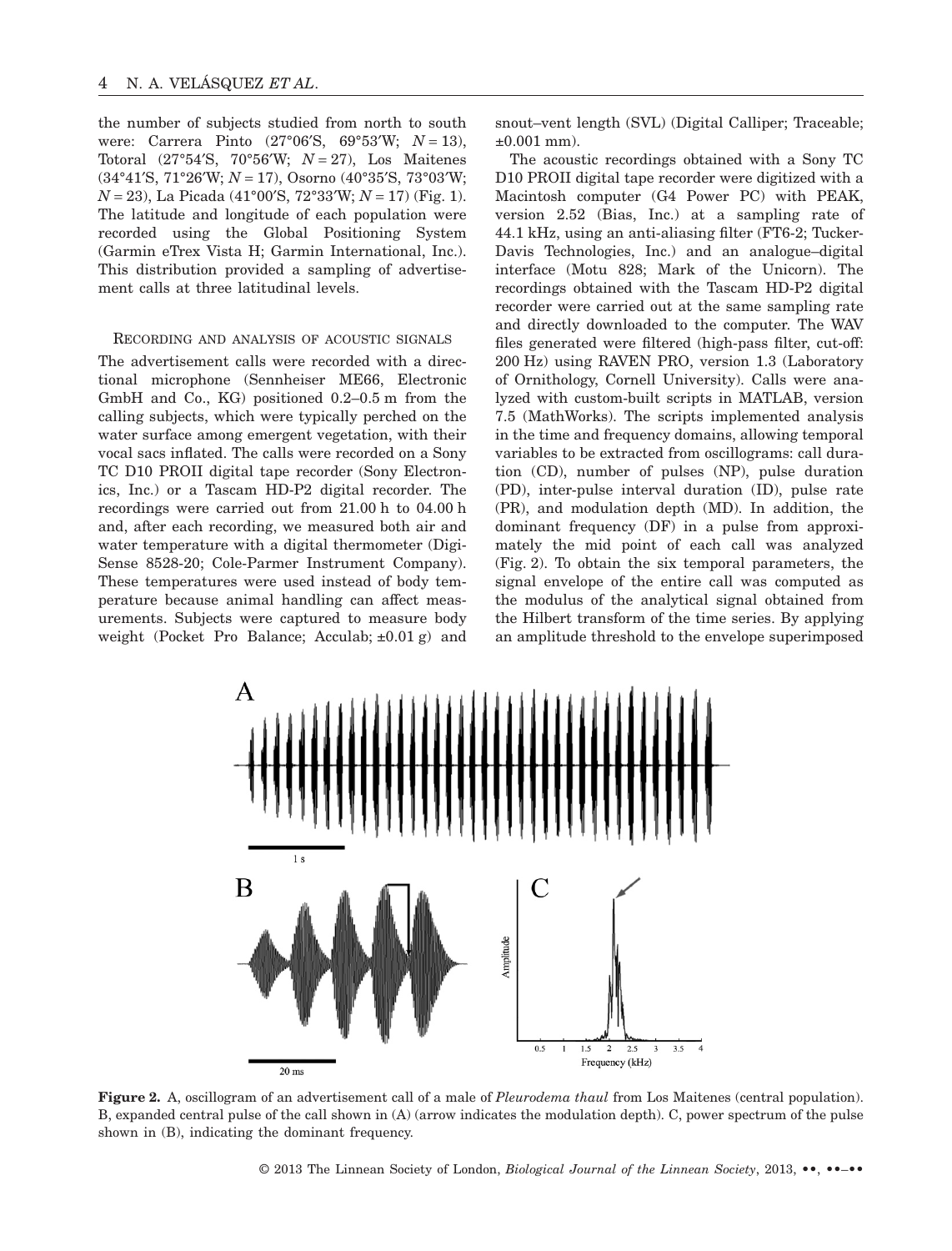the number of subjects studied from north to south were: Carrera Pinto (27°06′S, 69°53′W; *N* = 13), Totoral (27°54′S, 70°56′W; *N* = 27), Los Maitenes (34°41′S, 71°26′W; *N* = 17), Osorno (40°35′S, 73°03′W; *N* = 23), La Picada (41°00′S, 72°33′W; *N* = 17) (Fig. 1). The latitude and longitude of each population were recorded using the Global Positioning System (Garmin eTrex Vista H; Garmin International, Inc.). This distribution provided a sampling of advertisement calls at three latitudinal levels.

#### RECORDING AND ANALYSIS OF ACOUSTIC SIGNALS

The advertisement calls were recorded with a directional microphone (Sennheiser ME66, Electronic GmbH and Co., KG) positioned 0.2–0.5 m from the calling subjects, which were typically perched on the water surface among emergent vegetation, with their vocal sacs inflated. The calls were recorded on a Sony TC D10 PROII digital tape recorder (Sony Electronics, Inc.) or a Tascam HD-P2 digital recorder. The recordings were carried out from 21.00 h to 04.00 h and, after each recording, we measured both air and water temperature with a digital thermometer (Digi-Sense 8528-20; Cole-Parmer Instrument Company). These temperatures were used instead of body temperature because animal handling can affect measurements. Subjects were captured to measure body weight (Pocket Pro Balance; Acculab;  $\pm 0.01$  g) and

snout–vent length (SVL) (Digital Calliper; Traceable;  $\pm 0.001$  mm).

The acoustic recordings obtained with a Sony TC D10 PROII digital tape recorder were digitized with a Macintosh computer (G4 Power PC) with PEAK, version 2.52 (Bias, Inc.) at a sampling rate of 44.1 kHz, using an anti-aliasing filter (FT6-2; Tucker-Davis Technologies, Inc.) and an analogue–digital interface (Motu 828; Mark of the Unicorn). The recordings obtained with the Tascam HD-P2 digital recorder were carried out at the same sampling rate and directly downloaded to the computer. The WAV files generated were filtered (high-pass filter, cut-off: 200 Hz) using RAVEN PRO, version 1.3 (Laboratory of Ornithology, Cornell University). Calls were analyzed with custom-built scripts in MATLAB, version 7.5 (MathWorks). The scripts implemented analysis in the time and frequency domains, allowing temporal variables to be extracted from oscillograms: call duration (CD), number of pulses (NP), pulse duration (PD), inter-pulse interval duration (ID), pulse rate (PR), and modulation depth (MD). In addition, the dominant frequency (DF) in a pulse from approximately the mid point of each call was analyzed (Fig. 2). To obtain the six temporal parameters, the signal envelope of the entire call was computed as the modulus of the analytical signal obtained from the Hilbert transform of the time series. By applying an amplitude threshold to the envelope superimposed



**Figure 2.** A, oscillogram of an advertisement call of a male of *Pleurodema thaul* from Los Maitenes (central population). B, expanded central pulse of the call shown in (A) (arrow indicates the modulation depth). C, power spectrum of the pulse shown in (B), indicating the dominant frequency.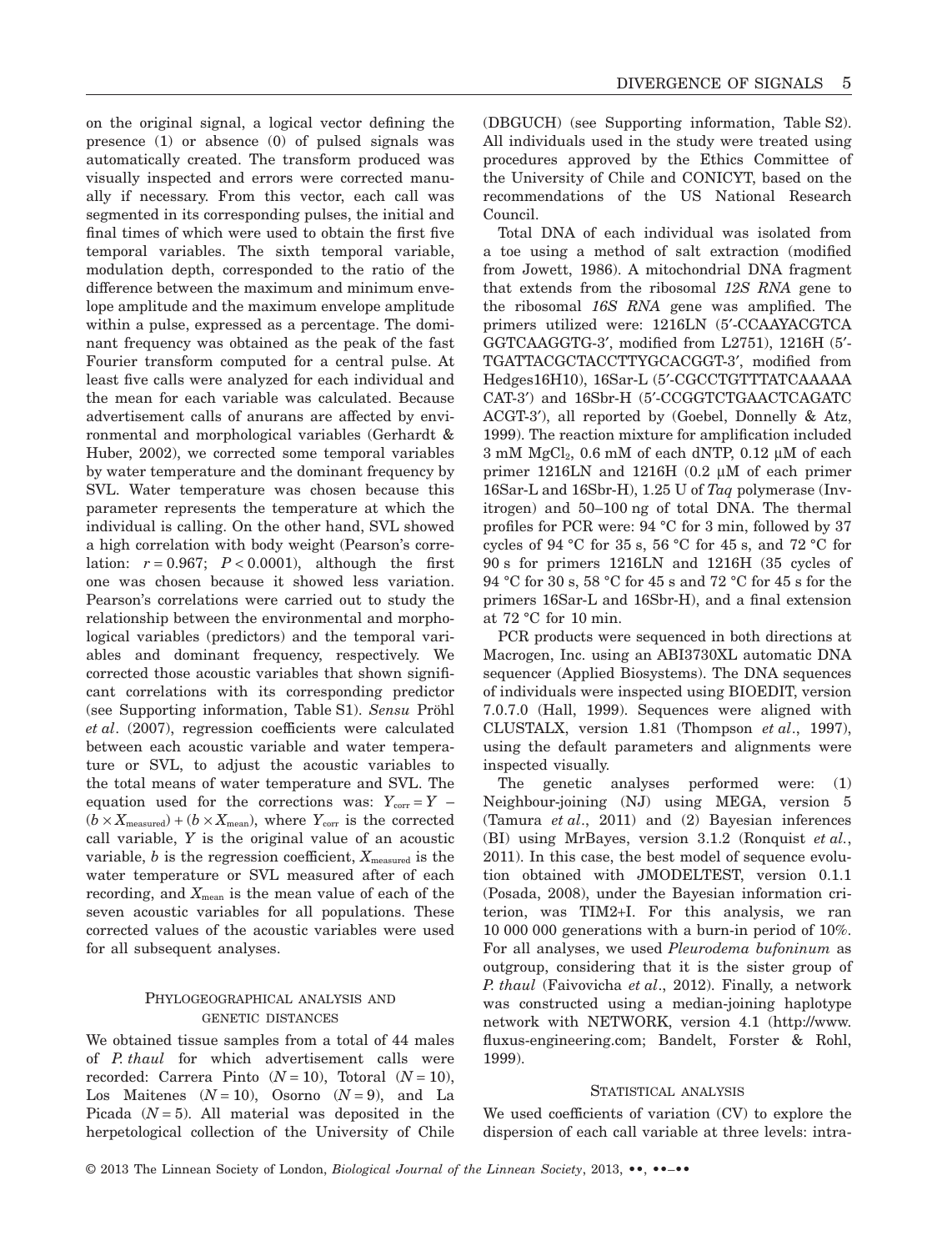on the original signal, a logical vector defining the presence (1) or absence (0) of pulsed signals was automatically created. The transform produced was visually inspected and errors were corrected manually if necessary. From this vector, each call was segmented in its corresponding pulses, the initial and final times of which were used to obtain the first five temporal variables. The sixth temporal variable, modulation depth, corresponded to the ratio of the difference between the maximum and minimum envelope amplitude and the maximum envelope amplitude within a pulse, expressed as a percentage. The dominant frequency was obtained as the peak of the fast Fourier transform computed for a central pulse. At least five calls were analyzed for each individual and the mean for each variable was calculated. Because advertisement calls of anurans are affected by environmental and morphological variables (Gerhardt & Huber, 2002), we corrected some temporal variables by water temperature and the dominant frequency by SVL. Water temperature was chosen because this parameter represents the temperature at which the individual is calling. On the other hand, SVL showed a high correlation with body weight (Pearson's correlation:  $r = 0.967$ ;  $P < 0.0001$ ), although the first one was chosen because it showed less variation. Pearson's correlations were carried out to study the relationship between the environmental and morphological variables (predictors) and the temporal variables and dominant frequency, respectively. We corrected those acoustic variables that shown significant correlations with its corresponding predictor (see Supporting information, Table S1). *Sensu* Pröhl *et al*. (2007), regression coefficients were calculated between each acoustic variable and water temperature or SVL, to adjust the acoustic variables to the total means of water temperature and SVL. The equation used for the corrections was:  $Y_{corr} = Y (b \times X_{\text{measured}}) + (b \times X_{\text{mean}})$ , where  $Y_{\text{corr}}$  is the corrected call variable, *Y* is the original value of an acoustic variable,  $b$  is the regression coefficient,  $X_{\text{measured}}$  is the water temperature or SVL measured after of each recording, and  $X_{\text{mean}}$  is the mean value of each of the seven acoustic variables for all populations. These corrected values of the acoustic variables were used for all subsequent analyses.

# PHYLOGEOGRAPHICAL ANALYSIS AND GENETIC DISTANCES

We obtained tissue samples from a total of 44 males of *P. thaul* for which advertisement calls were recorded: Carrera Pinto  $(N = 10)$ , Totoral  $(N = 10)$ , Los Maitenes  $(N = 10)$ , Osorno  $(N = 9)$ , and La Picada  $(N = 5)$ . All material was deposited in the herpetological collection of the University of Chile (DBGUCH) (see Supporting information, Table S2). All individuals used in the study were treated using procedures approved by the Ethics Committee of the University of Chile and CONICYT, based on the recommendations of the US National Research Council.

Total DNA of each individual was isolated from a toe using a method of salt extraction (modified from Jowett, 1986). A mitochondrial DNA fragment that extends from the ribosomal *12S RNA* gene to the ribosomal *16S RNA* gene was amplified. The primers utilized were: 1216LN (5′-CCAAYACGTCA GGTCAAGGTG-3′, modified from L2751), 1216H (5′- TGATTACGCTACCTTYGCACGGT-3′, modified from Hedges16H10), 16Sar-L (5′-CGCCTGTTTATCAAAAA CAT-3′) and 16Sbr-H (5′-CCGGTCTGAACTCAGATC ACGT-3′), all reported by (Goebel, Donnelly & Atz, 1999). The reaction mixture for amplification included  $3 \text{ mM } MgCl_2$ , 0.6 mM of each dNTP, 0.12 µM of each primer 1216LN and 1216H  $(0.2 \mu M)$  of each primer 16Sar-L and 16Sbr-H), 1.25 U of *Taq* polymerase (Invitrogen) and 50–100 ng of total DNA. The thermal profiles for PCR were: 94 °C for 3 min, followed by 37 cycles of 94 °C for 35 s, 56 °C for 45 s, and 72 °C for 90 s for primers 1216LN and 1216H (35 cycles of 94 °C for 30 s, 58 °C for 45 s and 72 °C for 45 s for the primers 16Sar-L and 16Sbr-H), and a final extension at 72 °C for 10 min.

PCR products were sequenced in both directions at Macrogen, Inc. using an ABI3730XL automatic DNA sequencer (Applied Biosystems). The DNA sequences of individuals were inspected using BIOEDIT, version 7.0.7.0 (Hall, 1999). Sequences were aligned with CLUSTALX, version 1.81 (Thompson *et al*., 1997), using the default parameters and alignments were inspected visually.

The genetic analyses performed were: (1) Neighbour-joining (NJ) using MEGA, version 5 (Tamura *et al*., 2011) and (2) Bayesian inferences (BI) using MrBayes, version 3.1.2 (Ronquist *et al.*, 2011). In this case, the best model of sequence evolution obtained with JMODELTEST, version 0.1.1 (Posada, 2008), under the Bayesian information criterion, was TIM2+I. For this analysis, we ran 10 000 000 generations with a burn-in period of 10%. For all analyses, we used *Pleurodema bufoninum* as outgroup, considering that it is the sister group of *P. thaul* (Faivovicha *et al*., 2012). Finally, a network was constructed using a median-joining haplotype network with NETWORK, version 4.1 (http://www. fluxus-engineering.com; Bandelt, Forster & Rohl, 1999).

#### STATISTICAL ANALYSIS

We used coefficients of variation (CV) to explore the dispersion of each call variable at three levels: intra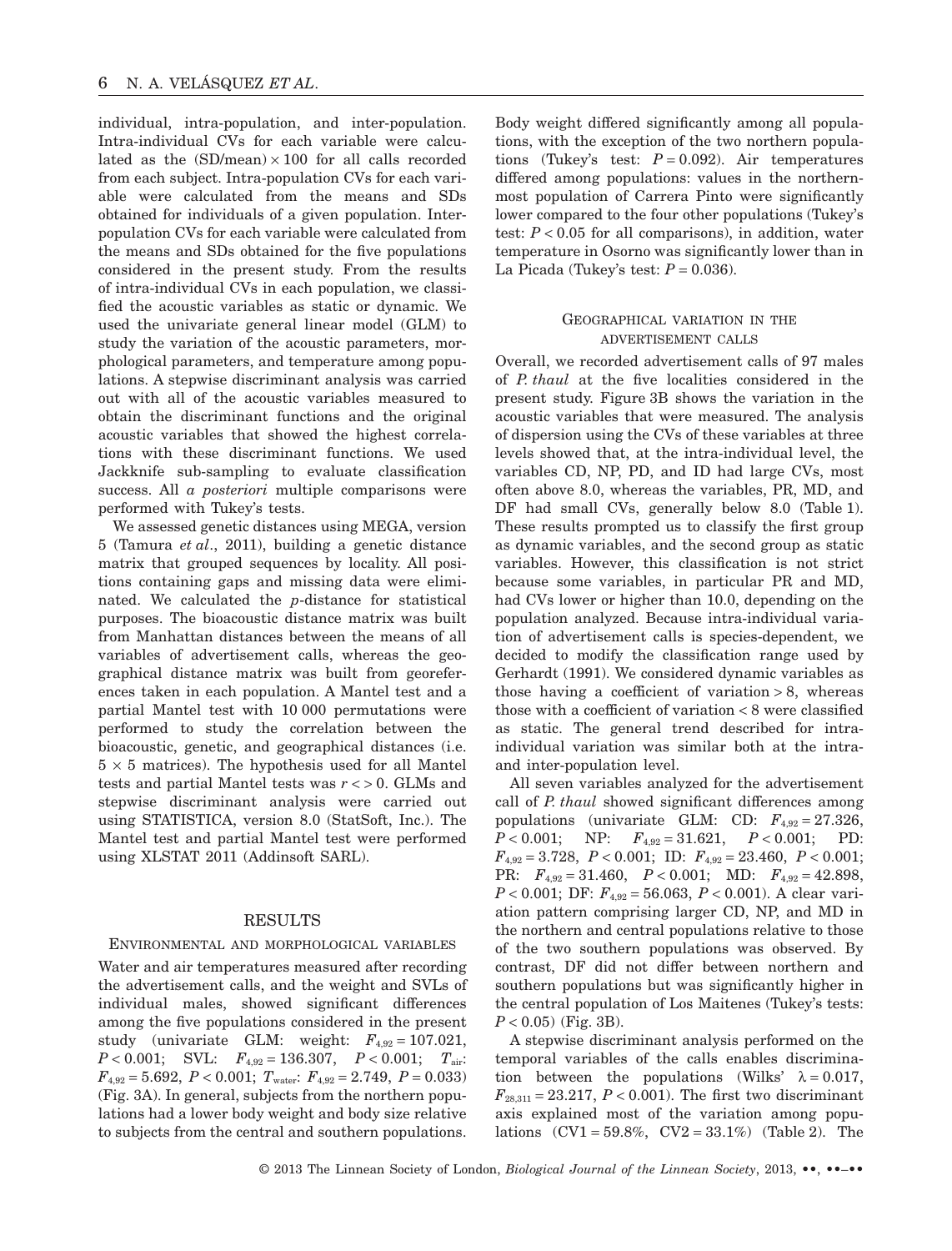individual, intra-population, and inter-population. Intra-individual CVs for each variable were calculated as the  $(SD/mean) \times 100$  for all calls recorded from each subject. Intra-population CVs for each variable were calculated from the means and SDs obtained for individuals of a given population. Interpopulation CVs for each variable were calculated from the means and SDs obtained for the five populations considered in the present study. From the results of intra-individual CVs in each population, we classified the acoustic variables as static or dynamic. We used the univariate general linear model (GLM) to study the variation of the acoustic parameters, morphological parameters, and temperature among populations. A stepwise discriminant analysis was carried out with all of the acoustic variables measured to obtain the discriminant functions and the original acoustic variables that showed the highest correlations with these discriminant functions. We used Jackknife sub-sampling to evaluate classification success. All *a posteriori* multiple comparisons were performed with Tukey's tests.

We assessed genetic distances using MEGA, version 5 (Tamura *et al*., 2011), building a genetic distance matrix that grouped sequences by locality. All positions containing gaps and missing data were eliminated. We calculated the *p*-distance for statistical purposes. The bioacoustic distance matrix was built from Manhattan distances between the means of all variables of advertisement calls, whereas the geographical distance matrix was built from georeferences taken in each population. A Mantel test and a partial Mantel test with 10 000 permutations were performed to study the correlation between the bioacoustic, genetic, and geographical distances (i.e.  $5 \times 5$  matrices). The hypothesis used for all Mantel tests and partial Mantel tests was *r* < > 0. GLMs and stepwise discriminant analysis were carried out using STATISTICA, version 8.0 (StatSoft, Inc.). The Mantel test and partial Mantel test were performed using XLSTAT 2011 (Addinsoft SARL).

# RESULTS

#### ENVIRONMENTAL AND MORPHOLOGICAL VARIABLES

Water and air temperatures measured after recording the advertisement calls, and the weight and SVLs of individual males, showed significant differences among the five populations considered in the present study (univariate GLM: weight:  $F_{4,92} = 107.021$ , *P* < 0.001; SVL: *F*4,92 = 136.307, *P* < 0.001; *T*air: *F*4,92 = 5.692, *P* < 0.001; *T*water: *F*4,92 = 2.749, *P* = 0.033) (Fig. 3A). In general, subjects from the northern populations had a lower body weight and body size relative to subjects from the central and southern populations.

Body weight differed significantly among all populations, with the exception of the two northern populations (Tukey's test:  $P = 0.092$ ). Air temperatures differed among populations: values in the northernmost population of Carrera Pinto were significantly lower compared to the four other populations (Tukey's test:  $P < 0.05$  for all comparisons), in addition, water temperature in Osorno was significantly lower than in La Picada (Tukey's test:  $P = 0.036$ ).

# GEOGRAPHICAL VARIATION IN THE ADVERTISEMENT CALLS

Overall, we recorded advertisement calls of 97 males of *P. thaul* at the five localities considered in the present study. Figure 3B shows the variation in the acoustic variables that were measured. The analysis of dispersion using the CVs of these variables at three levels showed that, at the intra-individual level, the variables CD, NP, PD, and ID had large CVs, most often above 8.0, whereas the variables, PR, MD, and DF had small CVs, generally below 8.0 (Table 1). These results prompted us to classify the first group as dynamic variables, and the second group as static variables. However, this classification is not strict because some variables, in particular PR and MD, had CVs lower or higher than 10.0, depending on the population analyzed. Because intra-individual variation of advertisement calls is species-dependent, we decided to modify the classification range used by Gerhardt (1991). We considered dynamic variables as those having a coefficient of variation  $> 8$ , whereas those with a coefficient of variation < 8 were classified as static. The general trend described for intraindividual variation was similar both at the intraand inter-population level.

All seven variables analyzed for the advertisement call of *P. thaul* showed significant differences among populations (univariate GLM: CD:  $F_{4.92} = 27.326$ , *P* < 0.001; NP: *F*4,92 = 31.621, *P* < 0.001; PD: *F*4,92 = 3.728, *P* < 0.001; ID: *F*4,92 = 23.460, *P* < 0.001; PR: *F*4,92 = 31.460, *P* < 0.001; MD: *F*4,92 = 42.898, *P* < 0.001; DF: *F*4,92 = 56.063, *P* < 0.001). A clear variation pattern comprising larger CD, NP, and MD in the northern and central populations relative to those of the two southern populations was observed. By contrast, DF did not differ between northern and southern populations but was significantly higher in the central population of Los Maitenes (Tukey's tests:  $P < 0.05$ ) (Fig. 3B).

A stepwise discriminant analysis performed on the temporal variables of the calls enables discrimination between the populations (Wilks'  $\lambda = 0.017$ ,  $F_{28,311} = 23.217$ ,  $P < 0.001$ ). The first two discriminant axis explained most of the variation among populations  $(CVI = 59.8\%, CV2 = 33.1\%)$  (Table 2). The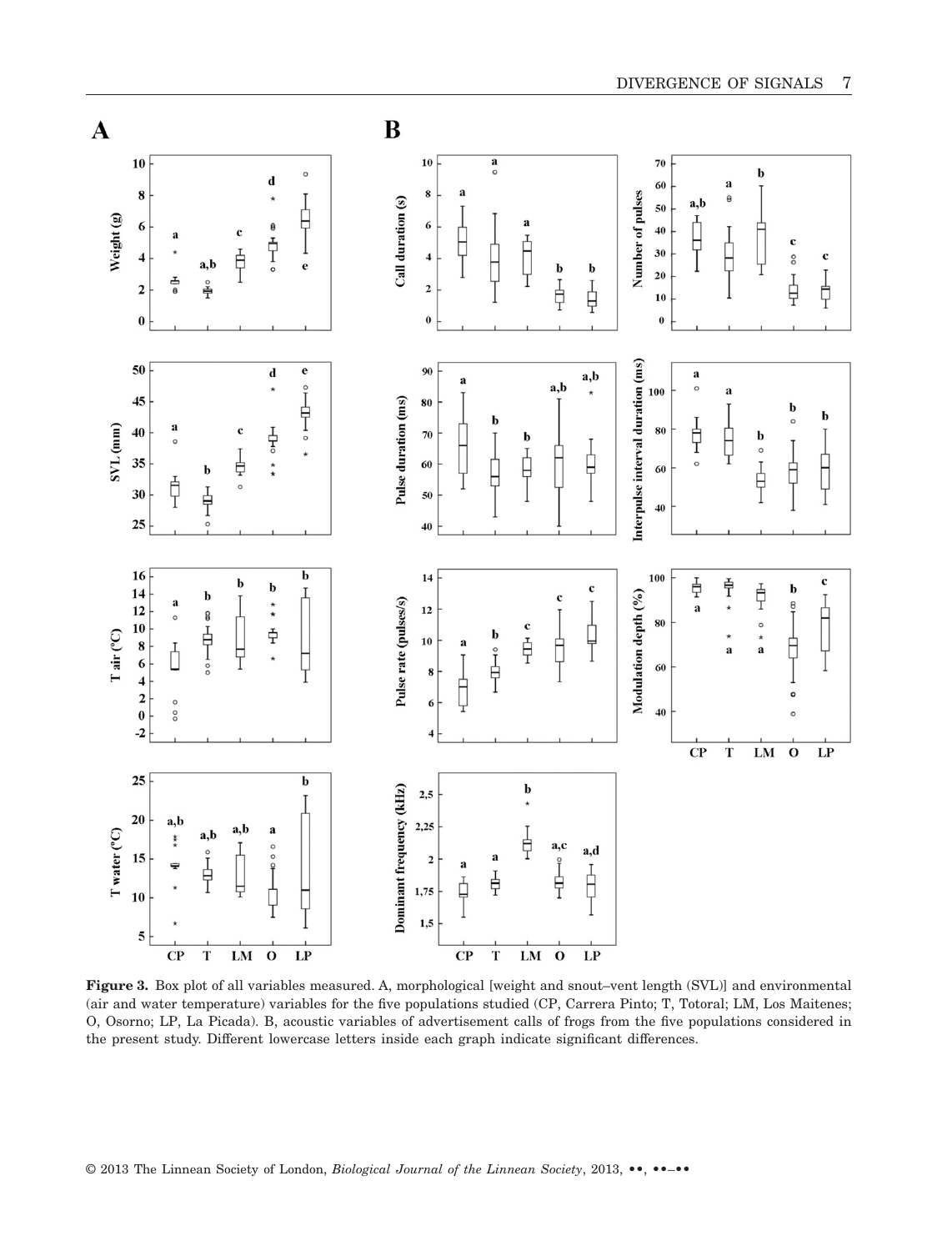

**Figure 3.** Box plot of all variables measured. A, morphological [weight and snout–vent length (SVL)] and environmental (air and water temperature) variables for the five populations studied (CP, Carrera Pinto; T, Totoral; LM, Los Maitenes; O, Osorno; LP, La Picada). B, acoustic variables of advertisement calls of frogs from the five populations considered in the present study. Different lowercase letters inside each graph indicate significant differences.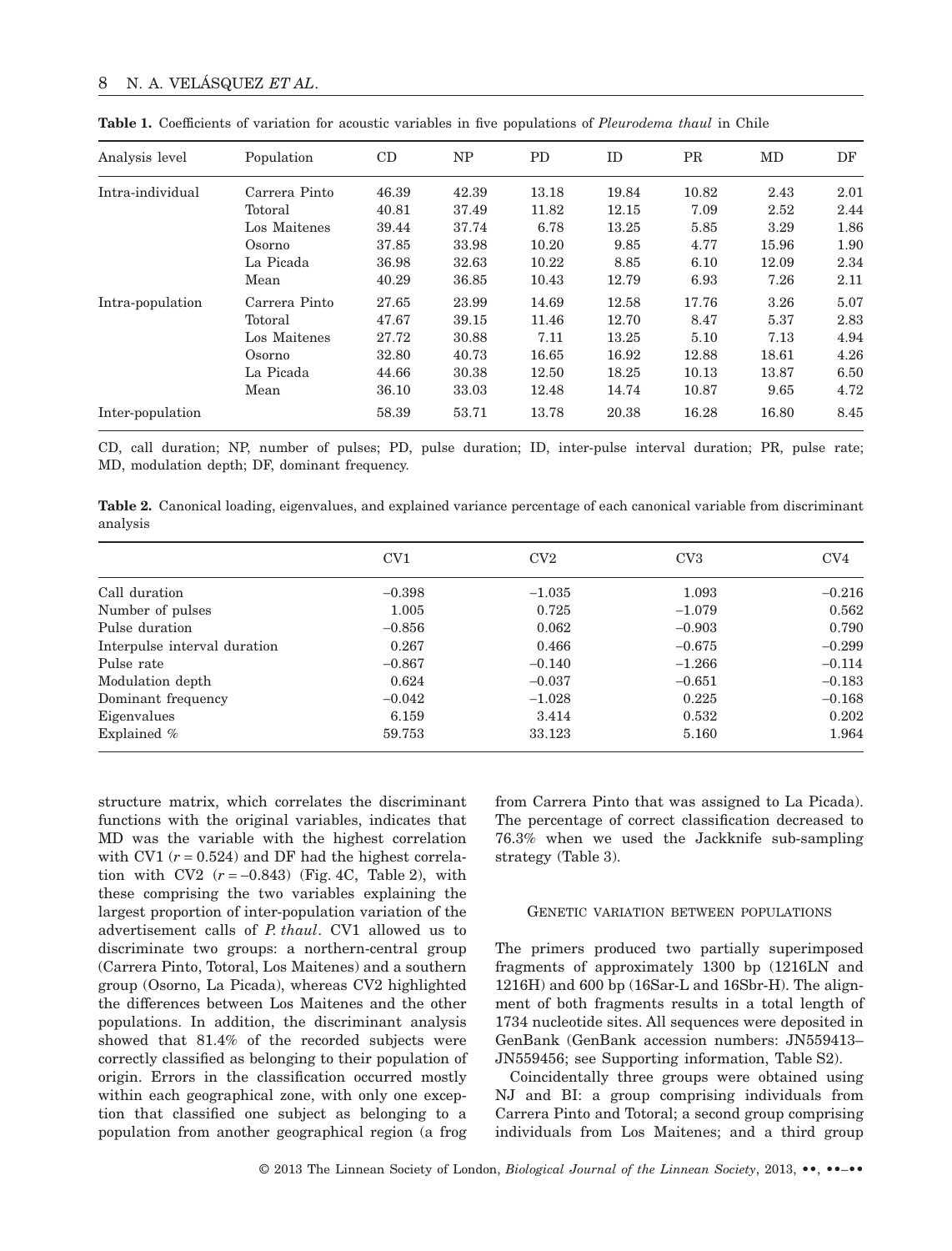| Analysis level   | Population    | CD    | NP    | <b>PD</b> | ID    | <b>PR</b> | MD    | DF   |
|------------------|---------------|-------|-------|-----------|-------|-----------|-------|------|
| Intra-individual | Carrera Pinto | 46.39 | 42.39 | 13.18     | 19.84 | 10.82     | 2.43  | 2.01 |
|                  | Totoral       | 40.81 | 37.49 | 11.82     | 12.15 | 7.09      | 2.52  | 2.44 |
|                  | Los Maitenes  | 39.44 | 37.74 | 6.78      | 13.25 | 5.85      | 3.29  | 1.86 |
|                  | Osorno        | 37.85 | 33.98 | 10.20     | 9.85  | 4.77      | 15.96 | 1.90 |
|                  | La Picada     | 36.98 | 32.63 | 10.22     | 8.85  | 6.10      | 12.09 | 2.34 |
|                  | Mean          | 40.29 | 36.85 | 10.43     | 12.79 | 6.93      | 7.26  | 2.11 |
| Intra-population | Carrera Pinto | 27.65 | 23.99 | 14.69     | 12.58 | 17.76     | 3.26  | 5.07 |
|                  | Totoral       | 47.67 | 39.15 | 11.46     | 12.70 | 8.47      | 5.37  | 2.83 |
|                  | Los Maitenes  | 27.72 | 30.88 | 7.11      | 13.25 | 5.10      | 7.13  | 4.94 |
|                  | Osorno        | 32.80 | 40.73 | 16.65     | 16.92 | 12.88     | 18.61 | 4.26 |
|                  | La Picada     | 44.66 | 30.38 | 12.50     | 18.25 | 10.13     | 13.87 | 6.50 |
|                  | Mean          | 36.10 | 33.03 | 12.48     | 14.74 | 10.87     | 9.65  | 4.72 |
| Inter-population |               | 58.39 | 53.71 | 13.78     | 20.38 | 16.28     | 16.80 | 8.45 |

**Table 1.** Coefficients of variation for acoustic variables in five populations of *Pleurodema thaul* in Chile

CD, call duration; NP, number of pulses; PD, pulse duration; ID, inter-pulse interval duration; PR, pulse rate; MD, modulation depth; DF, dominant frequency.

**Table 2.** Canonical loading, eigenvalues, and explained variance percentage of each canonical variable from discriminant analysis

|                              | CV <sub>1</sub> | CV2      | CV <sub>3</sub> | CV4      |
|------------------------------|-----------------|----------|-----------------|----------|
| Call duration                | $-0.398$        | $-1.035$ | 1.093           | $-0.216$ |
| Number of pulses             | 1.005           | 0.725    | $-1.079$        | 0.562    |
| Pulse duration               | $-0.856$        | 0.062    | $-0.903$        | 0.790    |
| Interpulse interval duration | 0.267           | 0.466    | $-0.675$        | $-0.299$ |
| Pulse rate                   | $-0.867$        | $-0.140$ | $-1.266$        | $-0.114$ |
| Modulation depth             | 0.624           | $-0.037$ | $-0.651$        | $-0.183$ |
| Dominant frequency           | $-0.042$        | $-1.028$ | 0.225           | $-0.168$ |
| Eigenvalues                  | 6.159           | 3.414    | 0.532           | 0.202    |
| Explained %                  | 59.753          | 33.123   | 5.160           | 1.964    |

structure matrix, which correlates the discriminant functions with the original variables, indicates that MD was the variable with the highest correlation with CV1  $(r = 0.524)$  and DF had the highest correlation with  $CV2$   $(r = -0.843)$  (Fig. 4C, Table 2), with these comprising the two variables explaining the largest proportion of inter-population variation of the advertisement calls of *P. thaul*. CV1 allowed us to discriminate two groups: a northern-central group (Carrera Pinto, Totoral, Los Maitenes) and a southern group (Osorno, La Picada), whereas CV2 highlighted the differences between Los Maitenes and the other populations. In addition, the discriminant analysis showed that 81.4% of the recorded subjects were correctly classified as belonging to their population of origin. Errors in the classification occurred mostly within each geographical zone, with only one exception that classified one subject as belonging to a population from another geographical region (a frog from Carrera Pinto that was assigned to La Picada). The percentage of correct classification decreased to 76.3% when we used the Jackknife sub-sampling strategy (Table 3).

## GENETIC VARIATION BETWEEN POPULATIONS

The primers produced two partially superimposed fragments of approximately 1300 bp (1216LN and 1216H) and 600 bp (16Sar-L and 16Sbr-H). The alignment of both fragments results in a total length of 1734 nucleotide sites. All sequences were deposited in GenBank (GenBank accession numbers: JN559413– JN559456; see Supporting information, Table S2).

Coincidentally three groups were obtained using NJ and BI: a group comprising individuals from Carrera Pinto and Totoral; a second group comprising individuals from Los Maitenes; and a third group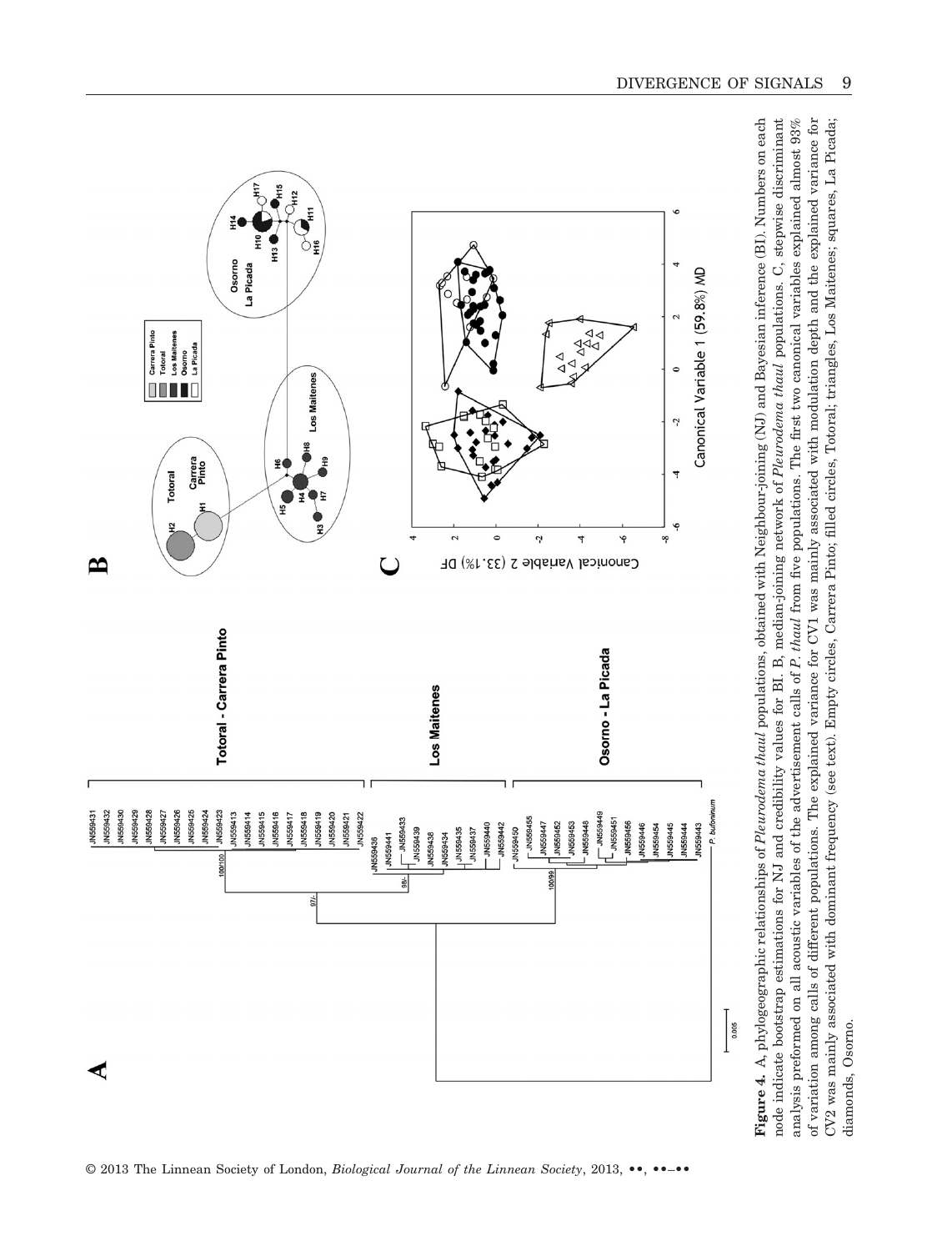

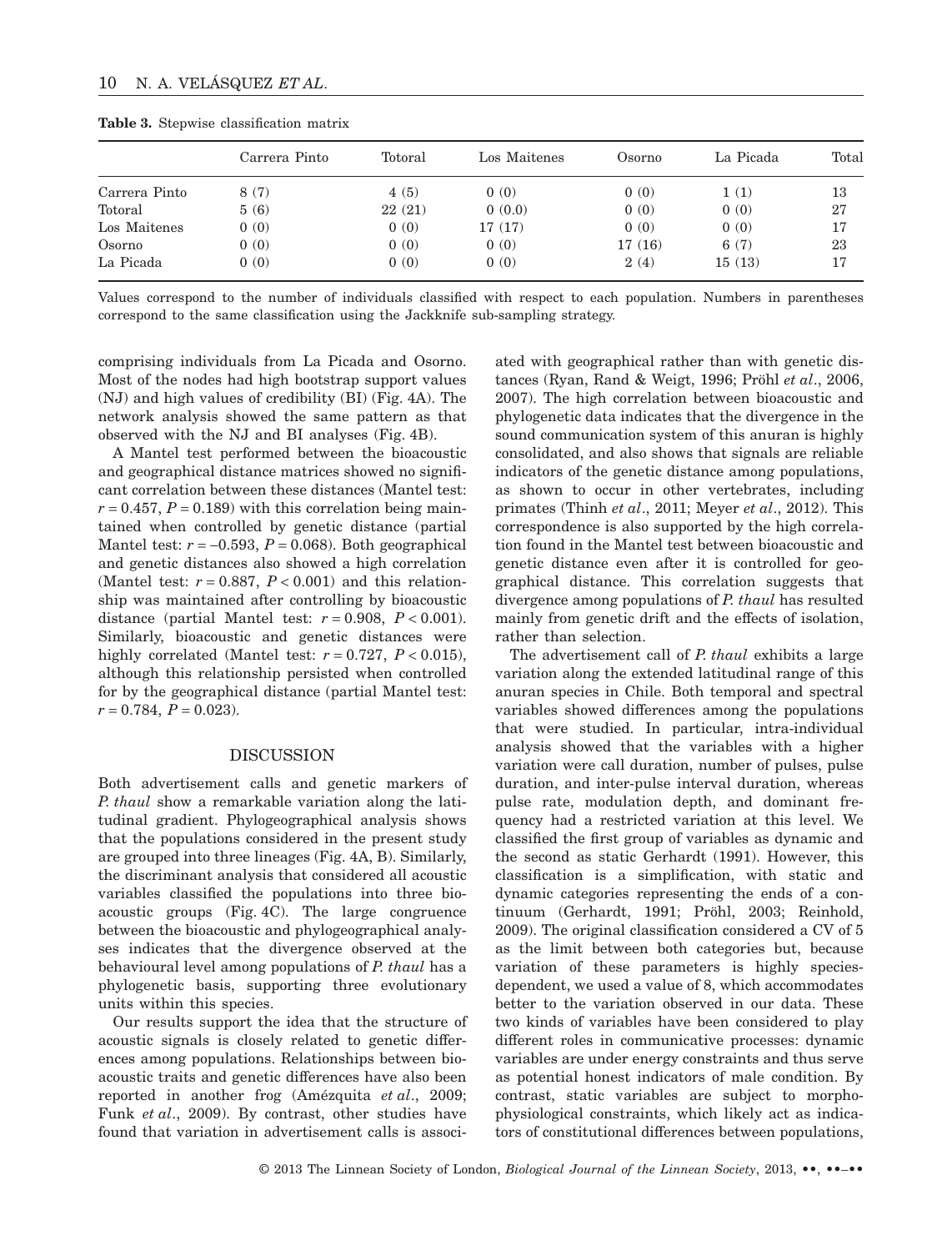|               | Carrera Pinto | Totoral | Los Maitenes | Osorno | La Picada | Total |
|---------------|---------------|---------|--------------|--------|-----------|-------|
| Carrera Pinto | 8(7)          | 4(5)    | 0(0)         | 0(0)   | 1(1)      | 13    |
| Totoral       | 5(6)          | 22(21)  | 0(0.0)       | 0(0)   | 0(0)      | 27    |
| Los Maitenes  | 0(0)          | 0(0)    | 17(17)       | 0(0)   | 0(0)      | 17    |
| Osorno        | 0(0)          | 0(0)    | 0(0)         | 17(16) | 6(7)      | 23    |
| La Picada     | 0(0)          | 0(0)    | 0(0)         | 2(4)   | 15(13)    | 17    |

**Table 3.** Stepwise classification matrix

Values correspond to the number of individuals classified with respect to each population. Numbers in parentheses correspond to the same classification using the Jackknife sub-sampling strategy.

comprising individuals from La Picada and Osorno. Most of the nodes had high bootstrap support values (NJ) and high values of credibility (BI) (Fig. 4A). The network analysis showed the same pattern as that observed with the NJ and BI analyses (Fig. 4B).

A Mantel test performed between the bioacoustic and geographical distance matrices showed no significant correlation between these distances (Mantel test:  $r = 0.457$ ,  $P = 0.189$  with this correlation being maintained when controlled by genetic distance (partial Mantel test:  $r = -0.593$ ,  $P = 0.068$ ). Both geographical and genetic distances also showed a high correlation (Mantel test:  $r = 0.887$ ,  $P < 0.001$ ) and this relationship was maintained after controlling by bioacoustic distance (partial Mantel test:  $r = 0.908$ ,  $P < 0.001$ ). Similarly, bioacoustic and genetic distances were highly correlated (Mantel test:  $r = 0.727$ ,  $P < 0.015$ ), although this relationship persisted when controlled for by the geographical distance (partial Mantel test:  $r = 0.784$ ,  $P = 0.023$ ).

# DISCUSSION

Both advertisement calls and genetic markers of *P. thaul* show a remarkable variation along the latitudinal gradient. Phylogeographical analysis shows that the populations considered in the present study are grouped into three lineages (Fig. 4A, B). Similarly, the discriminant analysis that considered all acoustic variables classified the populations into three bioacoustic groups (Fig. 4C). The large congruence between the bioacoustic and phylogeographical analyses indicates that the divergence observed at the behavioural level among populations of *P. thaul* has a phylogenetic basis, supporting three evolutionary units within this species.

Our results support the idea that the structure of acoustic signals is closely related to genetic differences among populations. Relationships between bioacoustic traits and genetic differences have also been reported in another frog (Amézquita *et al*., 2009; Funk *et al*., 2009). By contrast, other studies have found that variation in advertisement calls is associated with geographical rather than with genetic distances (Ryan, Rand & Weigt, 1996; Pröhl *et al*., 2006, 2007). The high correlation between bioacoustic and phylogenetic data indicates that the divergence in the sound communication system of this anuran is highly consolidated, and also shows that signals are reliable indicators of the genetic distance among populations, as shown to occur in other vertebrates, including primates (Thinh *et al*., 2011; Meyer *et al*., 2012). This correspondence is also supported by the high correlation found in the Mantel test between bioacoustic and genetic distance even after it is controlled for geographical distance. This correlation suggests that divergence among populations of *P. thaul* has resulted mainly from genetic drift and the effects of isolation, rather than selection.

The advertisement call of *P. thaul* exhibits a large variation along the extended latitudinal range of this anuran species in Chile. Both temporal and spectral variables showed differences among the populations that were studied. In particular, intra-individual analysis showed that the variables with a higher variation were call duration, number of pulses, pulse duration, and inter-pulse interval duration, whereas pulse rate, modulation depth, and dominant frequency had a restricted variation at this level. We classified the first group of variables as dynamic and the second as static Gerhardt (1991). However, this classification is a simplification, with static and dynamic categories representing the ends of a continuum (Gerhardt, 1991; Pröhl, 2003; Reinhold, 2009). The original classification considered a CV of 5 as the limit between both categories but, because variation of these parameters is highly speciesdependent, we used a value of 8, which accommodates better to the variation observed in our data. These two kinds of variables have been considered to play different roles in communicative processes: dynamic variables are under energy constraints and thus serve as potential honest indicators of male condition. By contrast, static variables are subject to morphophysiological constraints, which likely act as indicators of constitutional differences between populations,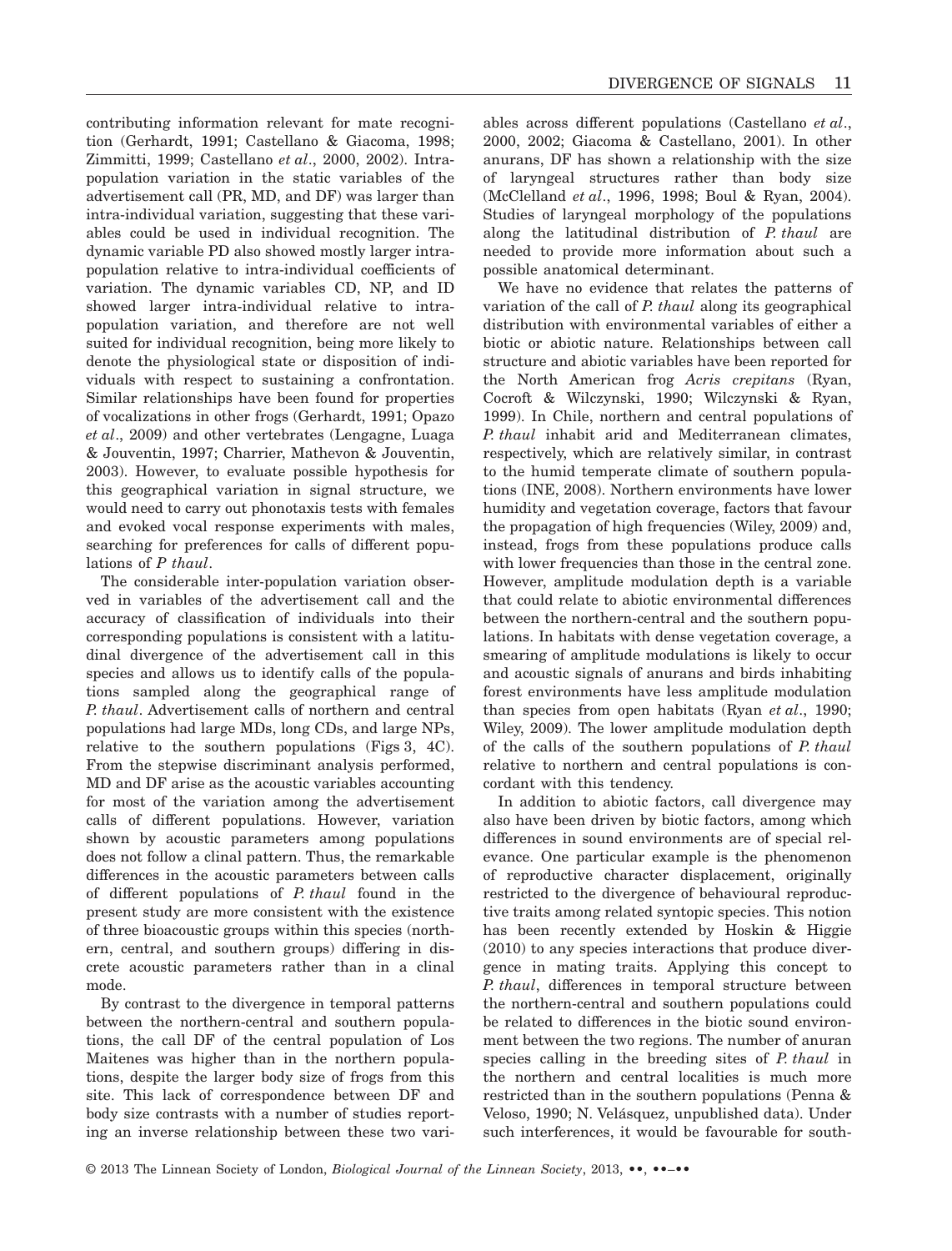contributing information relevant for mate recognition (Gerhardt, 1991; Castellano & Giacoma, 1998; Zimmitti, 1999; Castellano *et al*., 2000, 2002). Intrapopulation variation in the static variables of the advertisement call (PR, MD, and DF) was larger than intra-individual variation, suggesting that these variables could be used in individual recognition. The dynamic variable PD also showed mostly larger intrapopulation relative to intra-individual coefficients of variation. The dynamic variables CD, NP, and ID showed larger intra-individual relative to intrapopulation variation, and therefore are not well suited for individual recognition, being more likely to denote the physiological state or disposition of individuals with respect to sustaining a confrontation. Similar relationships have been found for properties of vocalizations in other frogs (Gerhardt, 1991; Opazo *et al*., 2009) and other vertebrates (Lengagne, Luaga & Jouventin, 1997; Charrier, Mathevon & Jouventin, 2003). However, to evaluate possible hypothesis for this geographical variation in signal structure, we would need to carry out phonotaxis tests with females and evoked vocal response experiments with males, searching for preferences for calls of different populations of *P thaul*.

The considerable inter-population variation observed in variables of the advertisement call and the accuracy of classification of individuals into their corresponding populations is consistent with a latitudinal divergence of the advertisement call in this species and allows us to identify calls of the populations sampled along the geographical range of *P. thaul*. Advertisement calls of northern and central populations had large MDs, long CDs, and large NPs, relative to the southern populations (Figs 3, 4C). From the stepwise discriminant analysis performed, MD and DF arise as the acoustic variables accounting for most of the variation among the advertisement calls of different populations. However, variation shown by acoustic parameters among populations does not follow a clinal pattern. Thus, the remarkable differences in the acoustic parameters between calls of different populations of *P. thaul* found in the present study are more consistent with the existence of three bioacoustic groups within this species (northern, central, and southern groups) differing in discrete acoustic parameters rather than in a clinal mode.

By contrast to the divergence in temporal patterns between the northern-central and southern populations, the call DF of the central population of Los Maitenes was higher than in the northern populations, despite the larger body size of frogs from this site. This lack of correspondence between DF and body size contrasts with a number of studies reporting an inverse relationship between these two variables across different populations (Castellano *et al*., 2000, 2002; Giacoma & Castellano, 2001). In other anurans, DF has shown a relationship with the size of laryngeal structures rather than body size (McClelland *et al*., 1996, 1998; Boul & Ryan, 2004). Studies of laryngeal morphology of the populations along the latitudinal distribution of *P. thaul* are needed to provide more information about such a possible anatomical determinant.

We have no evidence that relates the patterns of variation of the call of *P. thaul* along its geographical distribution with environmental variables of either a biotic or abiotic nature. Relationships between call structure and abiotic variables have been reported for the North American frog *Acris crepitans* (Ryan, Cocroft & Wilczynski, 1990; Wilczynski & Ryan, 1999). In Chile, northern and central populations of *P. thaul* inhabit arid and Mediterranean climates, respectively, which are relatively similar, in contrast to the humid temperate climate of southern populations (INE, 2008). Northern environments have lower humidity and vegetation coverage, factors that favour the propagation of high frequencies (Wiley, 2009) and, instead, frogs from these populations produce calls with lower frequencies than those in the central zone. However, amplitude modulation depth is a variable that could relate to abiotic environmental differences between the northern-central and the southern populations. In habitats with dense vegetation coverage, a smearing of amplitude modulations is likely to occur and acoustic signals of anurans and birds inhabiting forest environments have less amplitude modulation than species from open habitats (Ryan *et al*., 1990; Wiley, 2009). The lower amplitude modulation depth of the calls of the southern populations of *P. thaul* relative to northern and central populations is concordant with this tendency.

In addition to abiotic factors, call divergence may also have been driven by biotic factors, among which differences in sound environments are of special relevance. One particular example is the phenomenon of reproductive character displacement, originally restricted to the divergence of behavioural reproductive traits among related syntopic species. This notion has been recently extended by Hoskin & Higgie (2010) to any species interactions that produce divergence in mating traits. Applying this concept to *P. thaul*, differences in temporal structure between the northern-central and southern populations could be related to differences in the biotic sound environment between the two regions. The number of anuran species calling in the breeding sites of *P. thaul* in the northern and central localities is much more restricted than in the southern populations (Penna & Veloso, 1990; N. Velásquez, unpublished data). Under such interferences, it would be favourable for south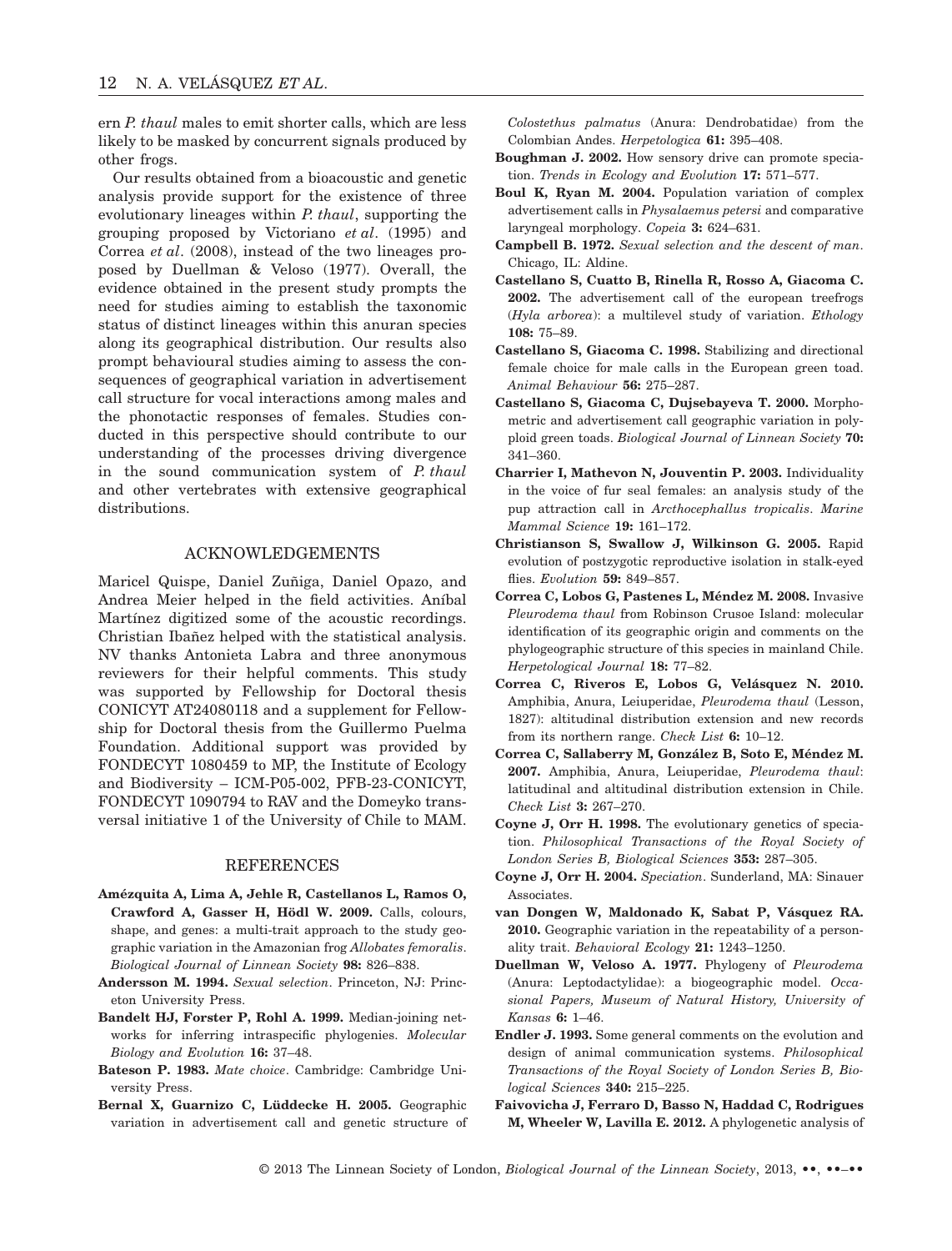ern *P. thaul* males to emit shorter calls, which are less likely to be masked by concurrent signals produced by other frogs.

Our results obtained from a bioacoustic and genetic analysis provide support for the existence of three evolutionary lineages within *P. thaul*, supporting the grouping proposed by Victoriano *et al*. (1995) and Correa *et al*. (2008), instead of the two lineages proposed by Duellman & Veloso (1977). Overall, the evidence obtained in the present study prompts the need for studies aiming to establish the taxonomic status of distinct lineages within this anuran species along its geographical distribution. Our results also prompt behavioural studies aiming to assess the consequences of geographical variation in advertisement call structure for vocal interactions among males and the phonotactic responses of females. Studies conducted in this perspective should contribute to our understanding of the processes driving divergence in the sound communication system of *P. thaul* and other vertebrates with extensive geographical distributions.

# ACKNOWLEDGEMENTS

Maricel Quispe, Daniel Zuñiga, Daniel Opazo, and Andrea Meier helped in the field activities. Aníbal Martínez digitized some of the acoustic recordings. Christian Ibañez helped with the statistical analysis. NV thanks Antonieta Labra and three anonymous reviewers for their helpful comments. This study was supported by Fellowship for Doctoral thesis CONICYT AT24080118 and a supplement for Fellowship for Doctoral thesis from the Guillermo Puelma Foundation. Additional support was provided by FONDECYT 1080459 to MP, the Institute of Ecology and Biodiversity – ICM-P05-002, PFB-23-CONICYT, FONDECYT 1090794 to RAV and the Domeyko transversal initiative 1 of the University of Chile to MAM.

#### REFERENCES

- **Amézquita A, Lima A, Jehle R, Castellanos L, Ramos O, Crawford A, Gasser H, Hödl W. 2009.** Calls, colours, shape, and genes: a multi-trait approach to the study geographic variation in the Amazonian frog *Allobates femoralis*. *Biological Journal of Linnean Society* **98:** 826–838.
- **Andersson M. 1994.** *Sexual selection*. Princeton, NJ: Princeton University Press.
- **Bandelt HJ, Forster P, Rohl A. 1999.** Median-joining networks for inferring intraspecific phylogenies. *Molecular Biology and Evolution* **16:** 37–48.
- **Bateson P. 1983.** *Mate choice*. Cambridge: Cambridge University Press.
- **Bernal X, Guarnizo C, Lüddecke H. 2005.** Geographic variation in advertisement call and genetic structure of

*Colostethus palmatus* (Anura: Dendrobatidae) from the Colombian Andes. *Herpetologica* **61:** 395–408.

- **Boughman J. 2002.** How sensory drive can promote speciation. *Trends in Ecology and Evolution* **17:** 571–577.
- **Boul K, Ryan M. 2004.** Population variation of complex advertisement calls in *Physalaemus petersi* and comparative laryngeal morphology. *Copeia* **3:** 624–631.
- **Campbell B. 1972.** *Sexual selection and the descent of man*. Chicago, IL: Aldine.
- **Castellano S, Cuatto B, Rinella R, Rosso A, Giacoma C. 2002.** The advertisement call of the european treefrogs (*Hyla arborea*): a multilevel study of variation. *Ethology* **108:** 75–89.
- **Castellano S, Giacoma C. 1998.** Stabilizing and directional female choice for male calls in the European green toad. *Animal Behaviour* **56:** 275–287.
- **Castellano S, Giacoma C, Dujsebayeva T. 2000.** Morphometric and advertisement call geographic variation in polyploid green toads. *Biological Journal of Linnean Society* **70:** 341–360.
- **Charrier I, Mathevon N, Jouventin P. 2003.** Individuality in the voice of fur seal females: an analysis study of the pup attraction call in *Arcthocephallus tropicalis*. *Marine Mammal Science* **19:** 161–172.
- **Christianson S, Swallow J, Wilkinson G. 2005.** Rapid evolution of postzygotic reproductive isolation in stalk-eyed flies. *Evolution* **59:** 849–857.
- **Correa C, Lobos G, Pastenes L, Méndez M. 2008.** Invasive *Pleurodema thaul* from Robinson Crusoe Island: molecular identification of its geographic origin and comments on the phylogeographic structure of this species in mainland Chile. *Herpetological Journal* **18:** 77–82.
- **Correa C, Riveros E, Lobos G, Velásquez N. 2010.** Amphibia, Anura, Leiuperidae, *Pleurodema thaul* (Lesson, 1827): altitudinal distribution extension and new records from its northern range. *Check List* **6:** 10–12.
- **Correa C, Sallaberry M, González B, Soto E, Méndez M. 2007.** Amphibia, Anura, Leiuperidae, *Pleurodema thaul*: latitudinal and altitudinal distribution extension in Chile. *Check List* **3:** 267–270.
- **Coyne J, Orr H. 1998.** The evolutionary genetics of speciation. *Philosophical Transactions of the Royal Society of London Series B, Biological Sciences* **353:** 287–305.
- **Coyne J, Orr H. 2004.** *Speciation*. Sunderland, MA: Sinauer Associates.
- **van Dongen W, Maldonado K, Sabat P, Vásquez RA. 2010.** Geographic variation in the repeatability of a personality trait. *Behavioral Ecology* **21:** 1243–1250.
- **Duellman W, Veloso A. 1977.** Phylogeny of *Pleurodema* (Anura: Leptodactylidae): a biogeographic model. *Occasional Papers, Museum of Natural History, University of Kansas* **6:** 1–46.
- **Endler J. 1993.** Some general comments on the evolution and design of animal communication systems. *Philosophical Transactions of the Royal Society of London Series B, Biological Sciences* **340:** 215–225.
- **Faivovicha J, Ferraro D, Basso N, Haddad C, Rodrigues M, Wheeler W, Lavilla E. 2012.** A phylogenetic analysis of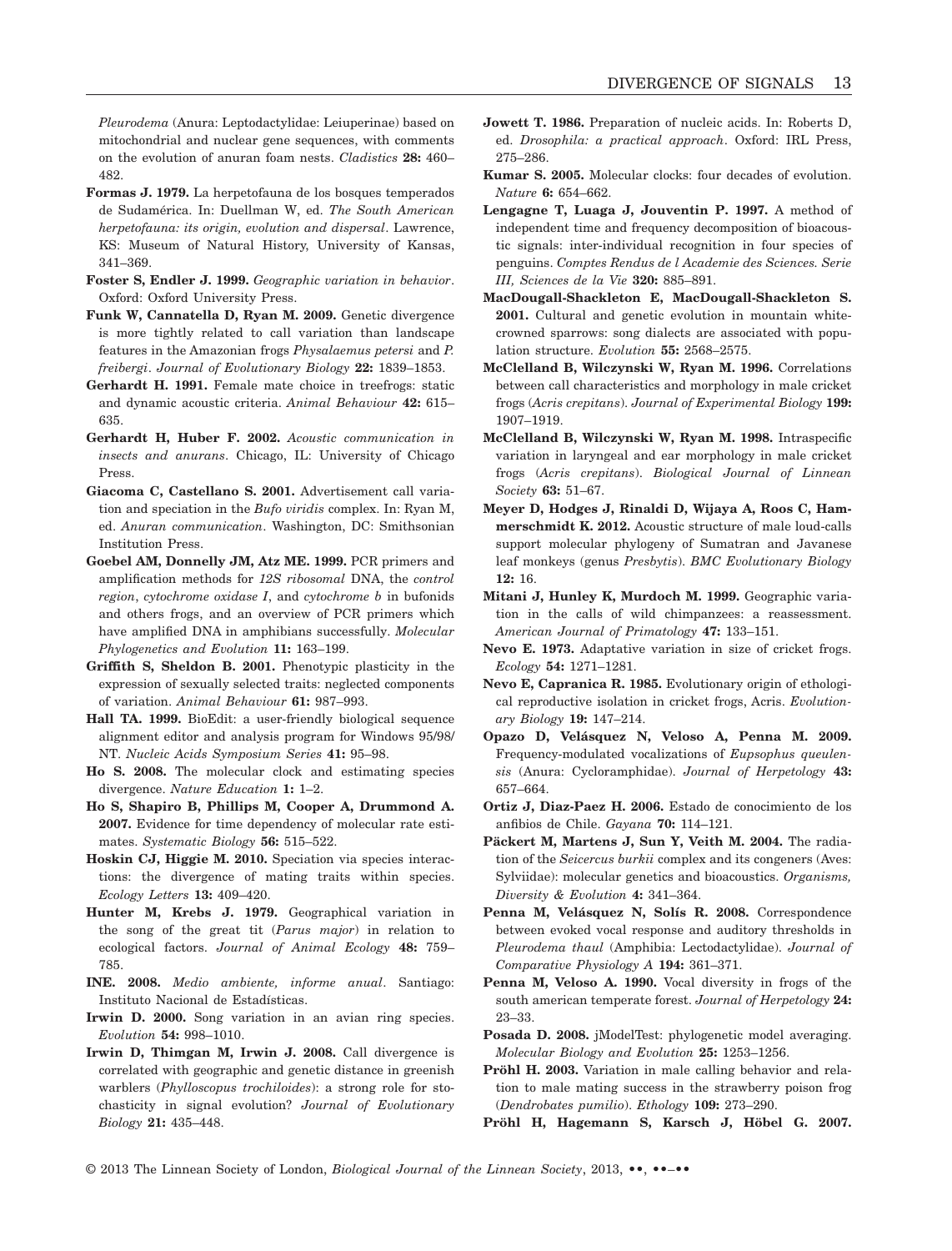*Pleurodema* (Anura: Leptodactylidae: Leiuperinae) based on mitochondrial and nuclear gene sequences, with comments on the evolution of anuran foam nests. *Cladistics* **28:** 460– 482.

- **Formas J. 1979.** La herpetofauna de los bosques temperados de Sudamérica. In: Duellman W, ed. *The South American herpetofauna: its origin, evolution and dispersal*. Lawrence, KS: Museum of Natural History, University of Kansas, 341–369.
- **Foster S, Endler J. 1999.** *Geographic variation in behavior*. Oxford: Oxford University Press.
- **Funk W, Cannatella D, Ryan M. 2009.** Genetic divergence is more tightly related to call variation than landscape features in the Amazonian frogs *Physalaemus petersi* and *P. freibergi*. *Journal of Evolutionary Biology* **22:** 1839–1853.
- **Gerhardt H. 1991.** Female mate choice in treefrogs: static and dynamic acoustic criteria. *Animal Behaviour* **42:** 615– 635.
- **Gerhardt H, Huber F. 2002.** *Acoustic communication in insects and anurans*. Chicago, IL: University of Chicago Press.
- **Giacoma C, Castellano S. 2001.** Advertisement call variation and speciation in the *Bufo viridis* complex. In: Ryan M, ed. *Anuran communication*. Washington, DC: Smithsonian Institution Press.
- **Goebel AM, Donnelly JM, Atz ME. 1999.** PCR primers and amplification methods for *12S ribosomal* DNA, the *control region*, *cytochrome oxidase I*, and *cytochrome b* in bufonids and others frogs, and an overview of PCR primers which have amplified DNA in amphibians successfully. *Molecular Phylogenetics and Evolution* **11:** 163–199.
- **Griffith S, Sheldon B. 2001.** Phenotypic plasticity in the expression of sexually selected traits: neglected components of variation. *Animal Behaviour* **61:** 987–993.
- **Hall TA. 1999.** BioEdit: a user-friendly biological sequence alignment editor and analysis program for Windows 95/98/ NT. *Nucleic Acids Symposium Series* **41:** 95–98.
- **Ho S. 2008.** The molecular clock and estimating species divergence. *Nature Education* **1:** 1–2.
- **Ho S, Shapiro B, Phillips M, Cooper A, Drummond A. 2007.** Evidence for time dependency of molecular rate estimates. *Systematic Biology* **56:** 515–522.
- **Hoskin CJ, Higgie M. 2010.** Speciation via species interactions: the divergence of mating traits within species. *Ecology Letters* **13:** 409–420.
- **Hunter M, Krebs J. 1979.** Geographical variation in the song of the great tit (*Parus major*) in relation to ecological factors. *Journal of Animal Ecology* **48:** 759– 785.
- **INE. 2008.** *Medio ambiente, informe anual*. Santiago: Instituto Nacional de Estadísticas.
- Irwin D. 2000. Song variation in an avian ring species. *Evolution* **54:** 998–1010.
- **Irwin D, Thimgan M, Irwin J. 2008.** Call divergence is correlated with geographic and genetic distance in greenish warblers (*Phylloscopus trochiloides*): a strong role for stochasticity in signal evolution? *Journal of Evolutionary Biology* **21:** 435–448.
- **Jowett T. 1986.** Preparation of nucleic acids. In: Roberts D, ed. *Drosophila: a practical approach*. Oxford: IRL Press, 275–286.
- **Kumar S. 2005.** Molecular clocks: four decades of evolution. *Nature* **6:** 654–662.
- **Lengagne T, Luaga J, Jouventin P. 1997.** A method of independent time and frequency decomposition of bioacoustic signals: inter-individual recognition in four species of penguins. *Comptes Rendus de l Academie des Sciences. Serie III, Sciences de la Vie* **320:** 885–891.
- **MacDougall-Shackleton E, MacDougall-Shackleton S. 2001.** Cultural and genetic evolution in mountain whitecrowned sparrows: song dialects are associated with population structure. *Evolution* **55:** 2568–2575.
- **McClelland B, Wilczynski W, Ryan M. 1996.** Correlations between call characteristics and morphology in male cricket frogs (*Acris crepitans*). *Journal of Experimental Biology* **199:** 1907–1919.
- **McClelland B, Wilczynski W, Ryan M. 1998.** Intraspecific variation in laryngeal and ear morphology in male cricket frogs (*Acris crepitans*). *Biological Journal of Linnean Society* **63:** 51–67.
- **Meyer D, Hodges J, Rinaldi D, Wijaya A, Roos C, Hammerschmidt K. 2012.** Acoustic structure of male loud-calls support molecular phylogeny of Sumatran and Javanese leaf monkeys (genus *Presbytis*). *BMC Evolutionary Biology* **12:** 16.
- **Mitani J, Hunley K, Murdoch M. 1999.** Geographic variation in the calls of wild chimpanzees: a reassessment. *American Journal of Primatology* **47:** 133–151.
- **Nevo E. 1973.** Adaptative variation in size of cricket frogs. *Ecology* **54:** 1271–1281.
- **Nevo E, Capranica R. 1985.** Evolutionary origin of ethological reproductive isolation in cricket frogs, Acris. *Evolutionary Biology* **19:** 147–214.
- **Opazo D, Velásquez N, Veloso A, Penna M. 2009.** Frequency-modulated vocalizations of *Eupsophus queulensis* (Anura: Cycloramphidae). *Journal of Herpetology* **43:** 657–664.
- **Ortiz J, Diaz-Paez H. 2006.** Estado de conocimiento de los anfibios de Chile. *Gayana* **70:** 114–121.
- **Päckert M, Martens J, Sun Y, Veith M. 2004.** The radiation of the *Seicercus burkii* complex and its congeners (Aves: Sylviidae): molecular genetics and bioacoustics. *Organisms, Diversity & Evolution* **4:** 341–364.
- **Penna M, Velásquez N, Solís R. 2008.** Correspondence between evoked vocal response and auditory thresholds in *Pleurodema thaul* (Amphibia: Lectodactylidae). *Journal of Comparative Physiology A* **194:** 361–371.
- **Penna M, Veloso A. 1990.** Vocal diversity in frogs of the south american temperate forest. *Journal of Herpetology* **24:** 23–33.
- **Posada D. 2008.** jModelTest: phylogenetic model averaging. *Molecular Biology and Evolution* **25:** 1253–1256.
- **Pröhl H. 2003.** Variation in male calling behavior and relation to male mating success in the strawberry poison frog (*Dendrobates pumilio*). *Ethology* **109:** 273–290.
- **Pröhl H, Hagemann S, Karsch J, Höbel G. 2007.**